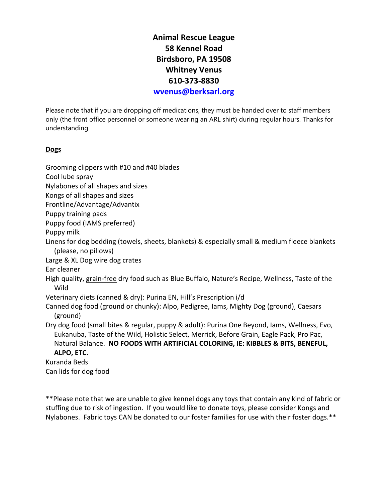**Animal Rescue League 58 Kennel Road Birdsboro, PA 19508 Whitney Venus 610-373-8830**

**[wvenus@berksarl.org](mailto:wvenus@berksarl.org)**

Please note that if you are dropping off medications, they must be handed over to staff members only (the front office personnel or someone wearing an ARL shirt) during regular hours. Thanks for understanding.

#### **Dogs**

Grooming clippers with #10 and #40 blades Cool lube spray Nylabones of all shapes and sizes Kongs of all shapes and sizes Frontline/Advantage/Advantix Puppy training pads Puppy food (IAMS preferred) Puppy milk Linens for dog bedding (towels, sheets, blankets) & especially small & medium fleece blankets (please, no pillows) Large & XL Dog wire dog crates Ear cleaner High quality, grain-free dry food such as Blue Buffalo, Nature's Recipe, Wellness, Taste of the Wild Veterinary diets (canned & dry): Purina EN, Hill's Prescription i/d Canned dog food (ground or chunky): Alpo, Pedigree, Iams, Mighty Dog (ground), Caesars (ground) Dry dog food (small bites & regular, puppy & adult): Purina One Beyond, Iams, Wellness, Evo, Eukanuba, Taste of the Wild, Holistic Select, Merrick, Before Grain, Eagle Pack, Pro Pac, Natural Balance. **NO FOODS WITH ARTIFICIAL COLORING, IE: KIBBLES & BITS, BENEFUL, ALPO, ETC.** [Kuranda Beds](http://kuranda.com/donate) Can lids for dog food

\*\*Please note that we are unable to give kennel dogs any toys that contain any kind of fabric or stuffing due to risk of ingestion. If you would like to donate toys, please consider Kongs and Nylabones. Fabric toys CAN be donated to our foster families for use with their foster dogs.\*\*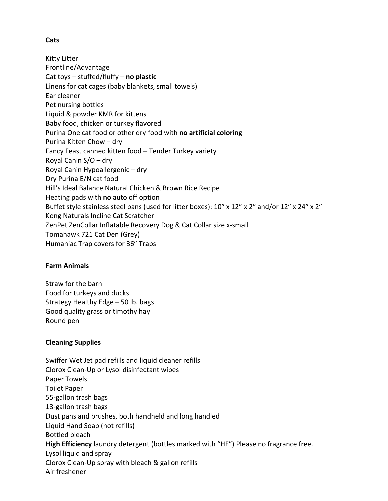## **Cats**

Kitty Litter Frontline/Advantage Cat toys – stuffed/fluffy – **no plastic** Linens for cat cages (baby blankets, small towels) Ear cleaner Pet nursing bottles Liquid & powder KMR for kittens Baby food, chicken or turkey flavored Purina One cat food or other dry food with **no artificial coloring** Purina Kitten Chow – dry Fancy Feast canned kitten food – Tender Turkey variety Royal Canin S/O – dry Royal Canin Hypoallergenic – dry Dry Purina E/N cat food Hill's Ideal Balance Natural Chicken & Brown Rice Recipe Heating pads with **no** auto off option Buffet style stainless steel pans (used for litter boxes): 10" x 12" x 2" and/or 12" x 24" x 2" Kong Naturals Incline Cat Scratcher ZenPet ZenCollar Inflatable Recovery Dog & Cat Collar size x-small Tomahawk 721 Cat Den (Grey) Humaniac Trap covers for 36″ Traps

### **Farm Animals**

Straw for the barn Food for turkeys and ducks Strategy Healthy Edge – 50 lb. bags Good quality grass or timothy hay Round pen

### **Cleaning Supplies**

Swiffer Wet Jet pad refills and liquid cleaner refills Clorox Clean-Up or Lysol disinfectant wipes Paper Towels Toilet Paper 55-gallon trash bags 13-gallon trash bags Dust pans and brushes, both handheld and long handled Liquid Hand Soap (not refills) Bottled bleach **High Efficiency** laundry detergent (bottles marked with "HE") Please no fragrance free. Lysol liquid and spray Clorox Clean-Up spray with bleach & gallon refills Air freshener